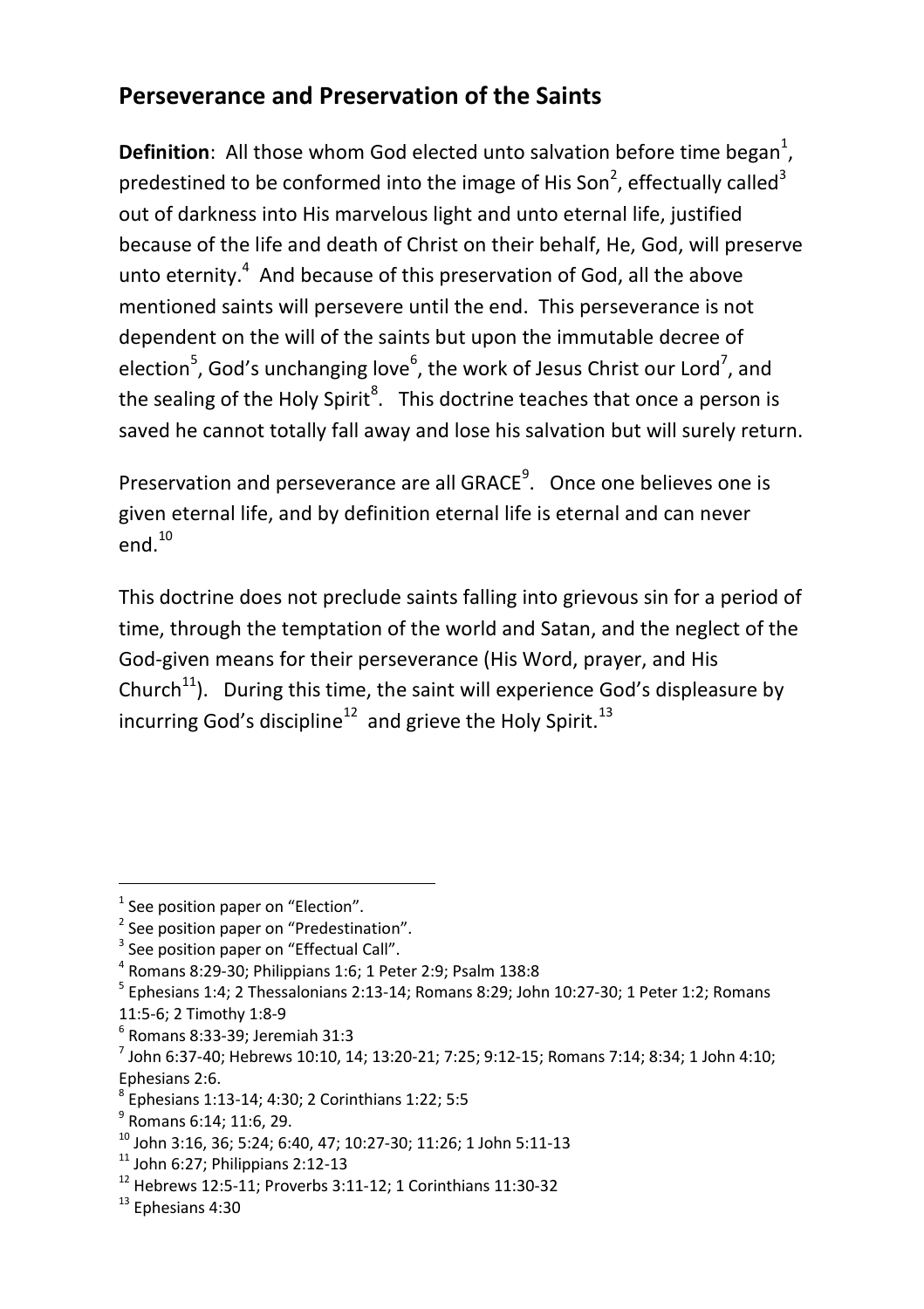## **Perseverance and Preservation of the Saints**

**Definition**: All those whom God elected unto salvation before time began<sup>1</sup>, predestined to be conformed into the image of His Son<sup>2</sup>, effectually called<sup>3</sup> out of darkness into His marvelous light and unto eternal life, justified because of the life and death of Christ on their behalf, He, God, will preserve unto eternity. $4$  And because of this preservation of God, all the above mentioned saints will persevere until the end. This perseverance is not dependent on the will of the saints but upon the immutable decree of election<sup>5</sup>, God's unchanging love<sup>6</sup>, the work of Jesus Christ our Lord<sup>7</sup>, and the sealing of the Holy Spirit<sup>8</sup>. This doctrine teaches that once a person is saved he cannot totally fall away and lose his salvation but will surely return.

Preservation and perseverance are all GRACE<sup>9</sup>. Once one believes one is given eternal life, and by definition eternal life is eternal and can never  $end<sup>10</sup>$ 

This doctrine does not preclude saints falling into grievous sin for a period of time, through the temptation of the world and Satan, and the neglect of the God-given means for their perseverance (His Word, prayer, and His Church<sup>11</sup>). During this time, the saint will experience God's displeasure by incurring God's discipline<sup>12</sup> and grieve the Holy Spirit.<sup>13</sup>

<u>.</u>

 $<sup>1</sup>$  See position paper on "Election".</sup>

<sup>&</sup>lt;sup>2</sup> See position paper on "Predestination".

<sup>&</sup>lt;sup>3</sup> See position paper on "Effectual Call".

<sup>4</sup> Romans 8:29-30; Philippians 1:6; 1 Peter 2:9; Psalm 138:8

<sup>&</sup>lt;sup>5</sup> Ephesians 1:4; 2 Thessalonians 2:13-14; Romans 8:29; John 10:27-30; 1 Peter 1:2; Romans 11:5-6; 2 Timothy 1:8-9

<sup>6</sup> Romans 8:33-39; Jeremiah 31:3

<sup>7</sup> John 6:37-40; Hebrews 10:10, 14; 13:20-21; 7:25; 9:12-15; Romans 7:14; 8:34; 1 John 4:10; Ephesians 2:6.

<sup>8</sup> Ephesians 1:13-14; 4:30; 2 Corinthians 1:22; 5:5

<sup>&</sup>lt;sup>9</sup> Romans 6:14; 11:6, 29.

 $^{10}$  John 3:16, 36; 5:24; 6:40, 47; 10:27-30; 11:26; 1 John 5:11-13

 $11$  John 6:27; Philippians 2:12-13

 $12$  Hebrews 12:5-11; Proverbs 3:11-12; 1 Corinthians 11:30-32

 $13$  Ephesians 4:30